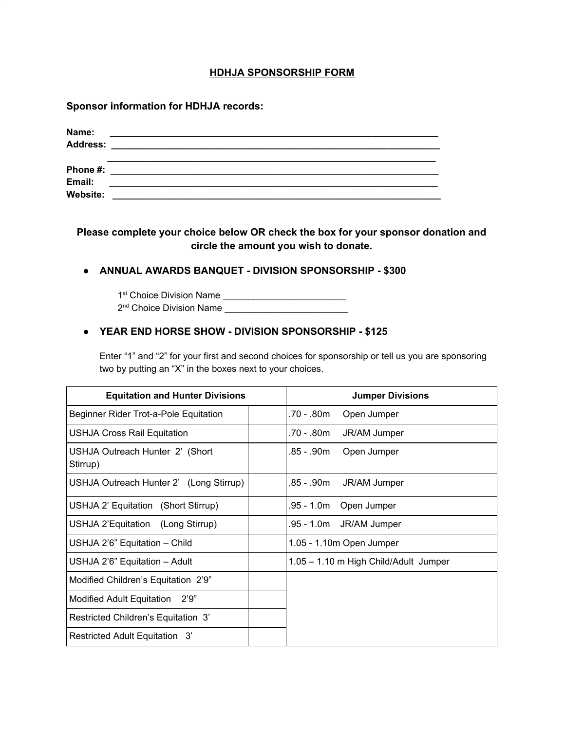### **HDHJA SPONSORSHIP FORM**

**Sponsor information for HDHJA records:**

| Name:<br><b>Address:</b> | <u> 1999 - Jan Alexandri, amerikan personal (</u>                                                                     |
|--------------------------|-----------------------------------------------------------------------------------------------------------------------|
| Phone #:                 | <u> 1980 - Jan Berlin, martin de la componentación de la componentación de la componentación de la componentación</u> |
| Email:                   |                                                                                                                       |
| Website:                 |                                                                                                                       |

**Please complete your choice below OR check the box for your sponsor donation and circle the amount you wish to donate.**

### **● ANNUAL AWARDS BANQUET - DIVISION SPONSORSHIP - \$300**

1 st Choice Division Name \_\_\_\_\_\_\_\_\_\_\_\_\_\_\_\_\_\_\_\_\_\_\_\_ 2 nd Choice Division Name \_\_\_\_\_\_\_\_\_\_\_\_\_\_\_\_\_\_\_\_\_\_\_\_

## **● YEAR END HORSE SHOW - DIVISION SPONSORSHIP - \$125**

Enter "1" and "2" for your first and second choices for sponsorship or tell us you are sponsoring two by putting an "X" in the boxes next to your choices.

| <b>Equitation and Hunter Divisions</b>      |  | <b>Jumper Divisions</b>               |  |
|---------------------------------------------|--|---------------------------------------|--|
| Beginner Rider Trot-a-Pole Equitation       |  | .70 - .80m<br>Open Jumper             |  |
| <b>USHJA Cross Rail Equitation</b>          |  | .70 - .80m<br>JR/AM Jumper            |  |
| USHJA Outreach Hunter 2' (Short<br>Stirrup) |  | .85 - .90m<br>Open Jumper             |  |
| USHJA Outreach Hunter 2' (Long Stirrup)     |  | .85 - .90m<br>JR/AM Jumper            |  |
| USHJA 2' Equitation (Short Stirrup)         |  | .95 - 1.0m<br>Open Jumper             |  |
| USHJA 2'Equitation (Long Stirrup)           |  | .95 - 1.0m<br>JR/AM Jumper            |  |
| USHJA 2'6" Equitation - Child               |  | 1.05 - 1.10m Open Jumper              |  |
| USHJA 2'6" Equitation - Adult               |  | 1.05 - 1.10 m High Child/Adult Jumper |  |
| Modified Children's Equitation 2'9"         |  |                                       |  |
| Modified Adult Equitation 2'9"              |  |                                       |  |
| Restricted Children's Equitation 3'         |  |                                       |  |
| Restricted Adult Equitation 3'              |  |                                       |  |